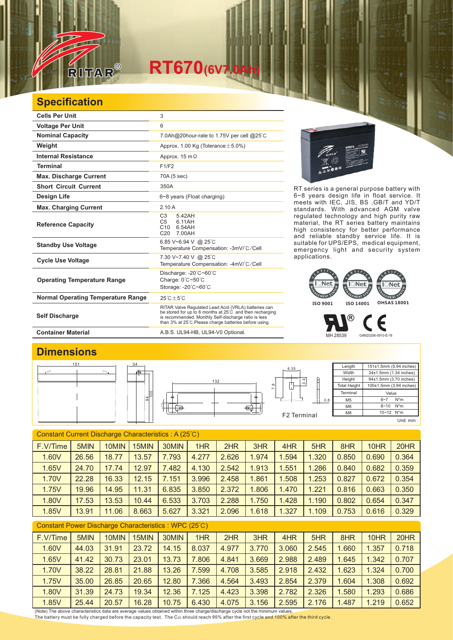

# **RT670**(6V7.0

### **Specification**

| <b>Cells Per Unit</b>                     | 3                                                                                                                                                                                                                                  |  |  |  |  |  |  |
|-------------------------------------------|------------------------------------------------------------------------------------------------------------------------------------------------------------------------------------------------------------------------------------|--|--|--|--|--|--|
| <b>Voltage Per Unit</b>                   | 6                                                                                                                                                                                                                                  |  |  |  |  |  |  |
| <b>Nominal Capacity</b>                   | 7.0Ah@20hour-rate to 1.75V per cell @25°C                                                                                                                                                                                          |  |  |  |  |  |  |
| Weight                                    | Approx. 1.00 Kg (Tolerance $\pm$ 5.0%)                                                                                                                                                                                             |  |  |  |  |  |  |
| <b>Internal Resistance</b>                | Approx. $15 \text{ m}\Omega$                                                                                                                                                                                                       |  |  |  |  |  |  |
| <b>Terminal</b>                           | F1/F2                                                                                                                                                                                                                              |  |  |  |  |  |  |
| <b>Max. Discharge Current</b>             | 70A (5 sec)                                                                                                                                                                                                                        |  |  |  |  |  |  |
| <b>Short Circuit Current</b>              | 350A                                                                                                                                                                                                                               |  |  |  |  |  |  |
| Design Life                               | 6~8 years (Float charging)                                                                                                                                                                                                         |  |  |  |  |  |  |
| <b>Max. Charging Current</b>              | 2.10A                                                                                                                                                                                                                              |  |  |  |  |  |  |
| <b>Reference Capacity</b>                 | 5.42AH<br>C <sub>3</sub><br>6.11AH<br>C <sub>5</sub><br>C10<br>6.54AH<br>7.00AH<br>C <sub>20</sub>                                                                                                                                 |  |  |  |  |  |  |
| <b>Standby Use Voltage</b>                | 6.85 V~6.94 V @ 25°C<br>Temperature Compensation: -3mV/°C/Cell                                                                                                                                                                     |  |  |  |  |  |  |
| <b>Cycle Use Voltage</b>                  | 7.30 V~7.40 V @ 25°C<br>Temperature Compensation: -4mV/°C/Cell                                                                                                                                                                     |  |  |  |  |  |  |
| <b>Operating Temperature Range</b>        | Discharge: $-20^{\circ}$ C $-60^{\circ}$ C<br>Charge: 0°C~50°C<br>Storage: -20°C~60°C                                                                                                                                              |  |  |  |  |  |  |
| <b>Normal Operating Temperature Range</b> | $25^{\circ}$ C + 5 $^{\circ}$ C                                                                                                                                                                                                    |  |  |  |  |  |  |
| <b>Self Discharge</b>                     | RITAR Valve Regulated Lead Acid (VRLA) batteries can<br>be stored for up to 6 months at 25°C and then recharging<br>is recommended. Monthly Self-discharge ratio is less<br>than 3% at 25°C. Please charge batteries before using. |  |  |  |  |  |  |



RT series is a general purpose battery with 6~8 years design life in float service. It meets with IEC, JIS, BS ,GB/T and YD/T standards. With advanced AGM valve regulated technology and high purity raw material, the RT series battery maintains high consistency for better performance and reliable standby service life. It is suitable for UPS/EPS, medical equipment, emergency light and security system applications.



MH 28539 G4M20206-0910-E-16

F

 $^\circledR$ 

Container Material **Container Material** A.B.S. UL94-HB, UL94-V0 Optional.

#### **Dimensions**



#### Constant Current Discharge Characteristics : A (25℃)

| F.V/Time | 5MIN  | 10MIN      | 15MIN | 30MIN            | 1HR   | 2HR   | 3HR   | 4HR   | 5HR   | 8HR   | 10HR  | 20HR  |
|----------|-------|------------|-------|------------------|-------|-------|-------|-------|-------|-------|-------|-------|
| 1.60V    | 26.56 | 18.77      | 13.57 | 7.793            | 4.277 | 2.626 | 1.974 | 1.594 | 1.320 | 0.850 | 0.690 | 0.364 |
| 1.65V    | 24.70 | 17.74      | 12.97 | 7.482            | 4.130 | 2.542 | 1.913 | 1.551 | 1.286 | 0.840 | 0.682 | 0.359 |
| 1.70V    | 22.28 | 16.33      | 12.15 | $^{\prime}$ .151 | 3.996 | 2.458 | .861  | 1.508 | 1.253 | 0.827 | 0.672 | 0.354 |
| 1.75V    | 19.96 | 14.95      | 11.31 | 6.835            | 3.850 | 2.372 | .806  | 1.470 | 1.221 | 0.816 | 0.663 | 0.350 |
| 1.80V    | 17.53 | 13.53      | 10.44 | 6.533            | 3.703 | 2.288 | 1.750 | 1.428 | 1.190 | 0.802 | 0.654 | 0.347 |
| 1.85V    | 13.91 | .06<br>11. | 8.663 | 5.627            | 3.321 | 2.096 | 1.618 | 1.327 | 1.109 | 0.753 | 0.616 | 0.329 |

| Constant Power Discharge Characteristics: WPC (25°C) |       |       |       |       |       |       |       |       |       |       |       |       |
|------------------------------------------------------|-------|-------|-------|-------|-------|-------|-------|-------|-------|-------|-------|-------|
| F.V/Time                                             | 5MIN  | 10MIN | 15MIN | 30MIN | 1HR   | 2HR   | 3HR   | 4HR   | 5HR   | 8HR   | 10HR  | 20HR  |
| 1.60V                                                | 44.03 | 31.91 | 23.72 | 14.15 | 8.037 | 4.977 | 3.770 | 3.060 | 2.545 | 1.660 | 1.357 | 0.718 |
| 1.65V                                                | 41.42 | 30.73 | 23.01 | 13.73 | 7.806 | 4.841 | 3.669 | 2.988 | 2.489 | 1.645 | 1.342 | 0.707 |
| 1.70V                                                | 38.22 | 28.81 | 21.88 | 13.26 | 7.599 | 4.708 | 3.585 | 2.918 | 2.432 | 1.623 | 1.324 | 0.700 |
| 1.75V                                                | 35.00 | 26.85 | 20.65 | 12.80 | 7.366 | 4.564 | 3.493 | 2.854 | 2.379 | 1.604 | 1.308 | 0.692 |
| 1.80V                                                | 31.39 | 24.73 | 19.34 | 12.36 | 7.125 | 4.423 | 3.398 | 2.782 | 2.326 | 1.580 | 1.293 | 0.686 |
| 1.85V                                                | 25.44 | 20.57 | 16.28 | 10.75 | 6.430 | 4.075 | 3.156 | 2.595 | 2.176 | 1.487 | 1.219 | 0.652 |

(Note) The above characteristics data are average values obtained within three charge/discharge cycle not the minimum values. The battery must be fully charged before the capacity test. The C<sub>20</sub> should reach 95% after the first cycle and 100% after the third cycle.